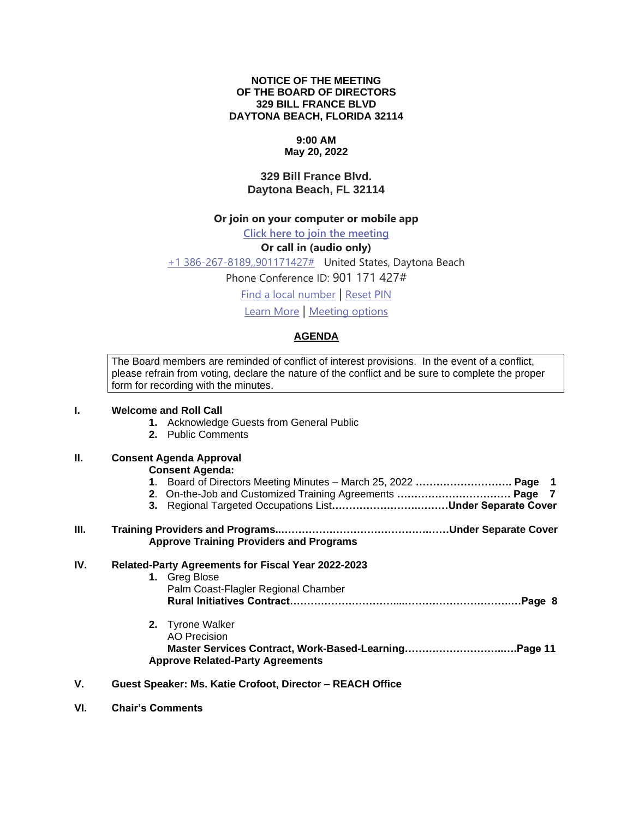#### **NOTICE OF THE MEETING OF THE BOARD OF DIRECTORS 329 BILL FRANCE BLVD DAYTONA BEACH, FLORIDA 32114**

# **9:00 AM**

## **May 20, 2022**

## **329 Bill France Blvd. Daytona Beach, FL 32114**

#### **Or join on your computer or mobile app**

**[Click here to join the meeting](https://teams.microsoft.com/l/meetup-join/19%3ameeting_NzFlODI2ZjktMmUzMy00Y2EyLTgxNmYtZmUzOWVmMjE4MWIw%40thread.v2/0?context=%7b%22Tid%22%3a%22703cdf20-1c9c-4e1a-b125-6692f22d8b2b%22%2c%22Oid%22%3a%22c342d8c4-f205-4d1a-bc1a-5b49e430dd76%22%7d)**

## **Or call in (audio only)**

[+1 386-267-8189,,901171427#](tel:+13862678189,,901171427# ) United States, Daytona Beach

Phone Conference ID: 901 171 427#

[Find a local number](https://dialin.teams.microsoft.com/9c696f14-a4b8-4aed-abeb-69578c5b61fe?id=901171427) | [Reset PIN](https://mysettings.lync.com/pstnconferencing)

[Learn More](https://aka.ms/JoinTeamsMeeting) | [Meeting options](https://teams.microsoft.com/meetingOptions/?organizerId=c342d8c4-f205-4d1a-bc1a-5b49e430dd76&tenantId=703cdf20-1c9c-4e1a-b125-6692f22d8b2b&threadId=19_meeting_NzFlODI2ZjktMmUzMy00Y2EyLTgxNmYtZmUzOWVmMjE4MWIw@thread.v2&messageId=0&language=en-US)

#### **AGENDA**

The Board members are reminded of conflict of interest provisions. In the event of a conflict, please refrain from voting, declare the nature of the conflict and be sure to complete the proper form for recording with the minutes.

## **I. Welcome and Roll Call**

- **1.** Acknowledge Guests from General Public
- **2.** Public Comments

#### **II. Consent Agenda Approval**

#### **Consent Agenda:**

- **1**. Board of Directors Meeting Minutes March 25, 2022 **………………………. Page 1**
- **2**. On-the-Job and Customized Training Agreements **…………………………… Page 7**
- **3.** Regional Targeted Occupations List**…………………….………Under Separate Cover**

#### **III. Training Providers and Programs..…………………………………….……Under Separate Cover Approve Training Providers and Programs**

#### **IV. Related-Party Agreements for Fiscal Year 2022-2023**

| 1. Greg Blose                       |  |
|-------------------------------------|--|
| Palm Coast-Flagler Regional Chamber |  |
|                                     |  |
|                                     |  |

- **2.** Tyrone Walker AO Precision **Master Services Contract, Work-Based-Learning………………………..….Page 11 Approve Related-Party Agreements**
- **V. Guest Speaker: Ms. Katie Crofoot, Director – REACH Office**
- **VI. Chair's Comments**